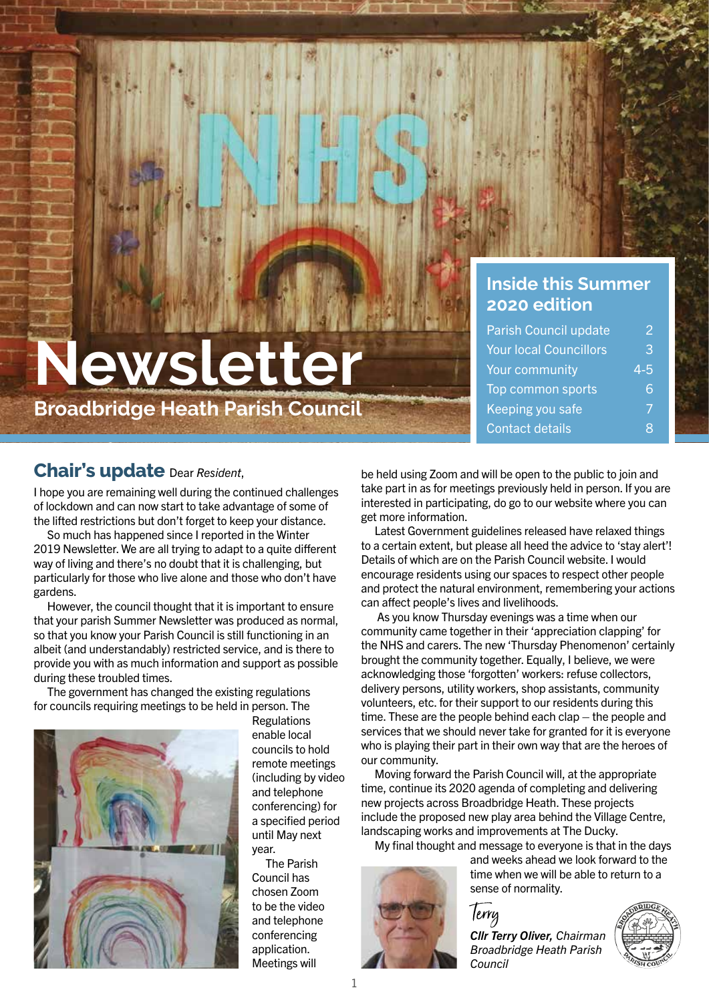#### **Inside this Summer 2020 edition**

| Parish Council update         | 2       |
|-------------------------------|---------|
| <b>Your local Councillors</b> | 3       |
| <b>Your community</b>         | $4 - 5$ |
| <b>Top common sports</b>      | ิค      |
| Keeping you safe              |         |
| <b>Contact details</b>        |         |

## **Chair's update** Dear *Resident*,

I hope you are remaining well during the continued challenges of lockdown and can now start to take advantage of some of the lifted restrictions but don't forget to keep your distance.

**Newsletter**

**Broadbridge Heath Parish Council**

So much has happened since I reported in the Winter 2019 Newsletter. We are all trying to adapt to a quite different way of living and there's no doubt that it is challenging, but particularly for those who live alone and those who don't have gardens.

However, the council thought that it is important to ensure that your parish Summer Newsletter was produced as normal, so that you know your Parish Council is still functioning in an albeit (and understandably) restricted service, and is there to provide you with as much information and support as possible during these troubled times.

The government has changed the existing regulations for councils requiring meetings to be held in person. The



**Regulations** enable local councils to hold remote meetings (including by video and telephone conferencing) for a specified period until May next year.

The Parish Council has chosen Zoom to be the video and telephone conferencing application. Meetings will

be held using Zoom and will be open to the public to join and take part in as for meetings previously held in person. If you are interested in participating, do go to our website where you can get more information.

Latest Government guidelines released have relaxed things to a certain extent, but please all heed the advice to 'stay alert'! Details of which are on the Parish Council website. I would encourage residents using our spaces to respect other people and protect the natural environment, remembering your actions can affect people's lives and livelihoods.

 As you know Thursday evenings was a time when our community came together in their 'appreciation clapping' for the NHS and carers. The new 'Thursday Phenomenon' certainly brought the community together. Equally, I believe, we were acknowledging those 'forgotten' workers: refuse collectors, delivery persons, utility workers, shop assistants, community volunteers, etc. for their support to our residents during this time. These are the people behind each clap – the people and services that we should never take for granted for it is everyone who is playing their part in their own way that are the heroes of our community.

Moving forward the Parish Council will, at the appropriate time, continue its 2020 agenda of completing and delivering new projects across Broadbridge Heath. These projects include the proposed new play area behind the Village Centre, landscaping works and improvements at The Ducky.

My final thought and message to everyone is that in the days



and weeks ahead we look forward to the time when we will be able to return to a sense of normality.

lerry *Cllr Terry Oliver, Chairman Broadbridge Heath Parish Council*

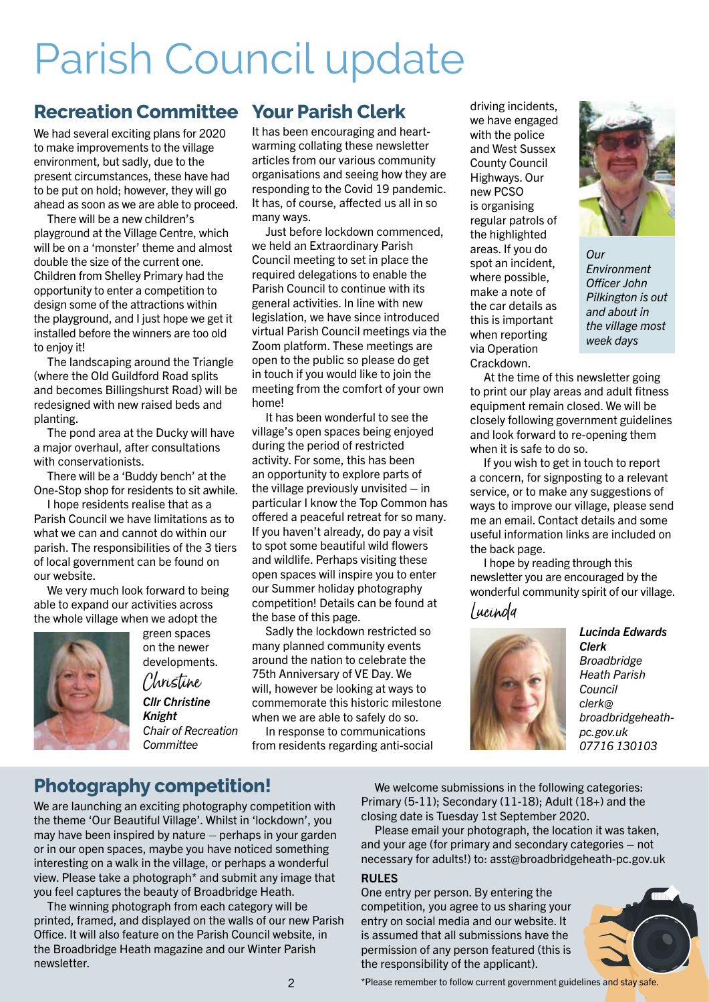## Parish Council update

#### **Recreation Committee Your Parish Clerk**

We had several exciting plans for 2020 to make improvements to the village environment, but sadly, due to the present circumstances, these have had to be put on hold; however, they will go ahead as soon as we are able to proceed.

There will be a new children's playground at the Village Centre, which will be on a 'monster' theme and almost double the size of the current one. Children from Shelley Primary had the opportunity to enter a competition to design some of the attractions within the playground, and I just hope we get it installed before the winners are too old to enjoy it!

The landscaping around the Triangle (where the Old Guildford Road splits and becomes Billingshurst Road) will be redesigned with new raised beds and planting.

The pond area at the Ducky will have a major overhaul, after consultations with conservationists.

There will be a 'Buddy bench' at the One-Stop shop for residents to sit awhile.

I hope residents realise that as a Parish Council we have limitations as to what we can and cannot do within our parish. The responsibilities of the 3 tiers of local government can be found on our website.

We very much look forward to being able to expand our activities across the whole village when we adopt the



green spaces on the newer developments. Christine *Cllr Christine Knight Chair of Recreation Committee*

It has been encouraging and heartwarming collating these newsletter articles from our various community organisations and seeing how they are responding to the Covid 19 pandemic. It has, of course, affected us all in so many ways.

Just before lockdown commenced, we held an Extraordinary Parish Council meeting to set in place the required delegations to enable the Parish Council to continue with its general activities. In line with new legislation, we have since introduced virtual Parish Council meetings via the Zoom platform. These meetings are open to the public so please do get in touch if you would like to join the meeting from the comfort of your own home!

It has been wonderful to see the village's open spaces being enjoyed during the period of restricted activity. For some, this has been an opportunity to explore parts of the village previously unvisited  $-$  in particular I know the Top Common has offered a peaceful retreat for so many. If you haven't already, do pay a visit to spot some beautiful wild flowers and wildlife. Perhaps visiting these open spaces will inspire you to enter our Summer holiday photography competition! Details can be found at the base of this page.

Sadly the lockdown restricted so many planned community events around the nation to celebrate the 75th Anniversary of VE Day. We will, however be looking at ways to commemorate this historic milestone when we are able to safely do so.

In response to communications from residents regarding anti-social driving incidents, we have engaged with the police and West Sussex County Council Highways. Our new PCSO is organising regular patrols of the highlighted areas. If you do spot an incident, where possible, make a note of the car details as this is important when reporting via Operation Crackdown.



*Our Environment Officer John Pilkington is out and about in the village most week days*

At the time of this newsletter going to print our play areas and adult fitness equipment remain closed. We will be closely following government guidelines and look forward to re-opening them when it is safe to do so.

If you wish to get in touch to report a concern, for signposting to a relevant service, or to make any suggestions of ways to improve our village, please send me an email. Contact details and some useful information links are included on the back page.

I hope by reading through this newsletter you are encouraged by the wonderful community spirit of our village.

#### Lucinda



*Lucinda Edwards Clerk Broadbridge Heath Parish Council clerk@ broadbridgeheathpc.gov.uk 07716 130103*

#### **Photography competition!**

We are launching an exciting photography competition with the theme 'Our Beautiful Village'. Whilst in 'lockdown', you may have been inspired by nature – perhaps in your garden or in our open spaces, maybe you have noticed something interesting on a walk in the village, or perhaps a wonderful view. Please take a photograph\* and submit any image that you feel captures the beauty of Broadbridge Heath.

The winning photograph from each category will be printed, framed, and displayed on the walls of our new Parish Office. It will also feature on the Parish Council website, in the Broadbridge Heath magazine and our Winter Parish newsletter.

We welcome submissions in the following categories: Primary (5-11); Secondary (11-18); Adult (18+) and the closing date is Tuesday 1st September 2020.

Please email your photograph, the location it was taken, and your age (for primary and secondary categories – not necessary for adults!) to: asst@broadbridgeheath-pc.gov.uk

#### RULES

One entry per person. By entering the competition, you agree to us sharing your entry on social media and our website. It is assumed that all submissions have the permission of any person featured (this is the responsibility of the applicant).

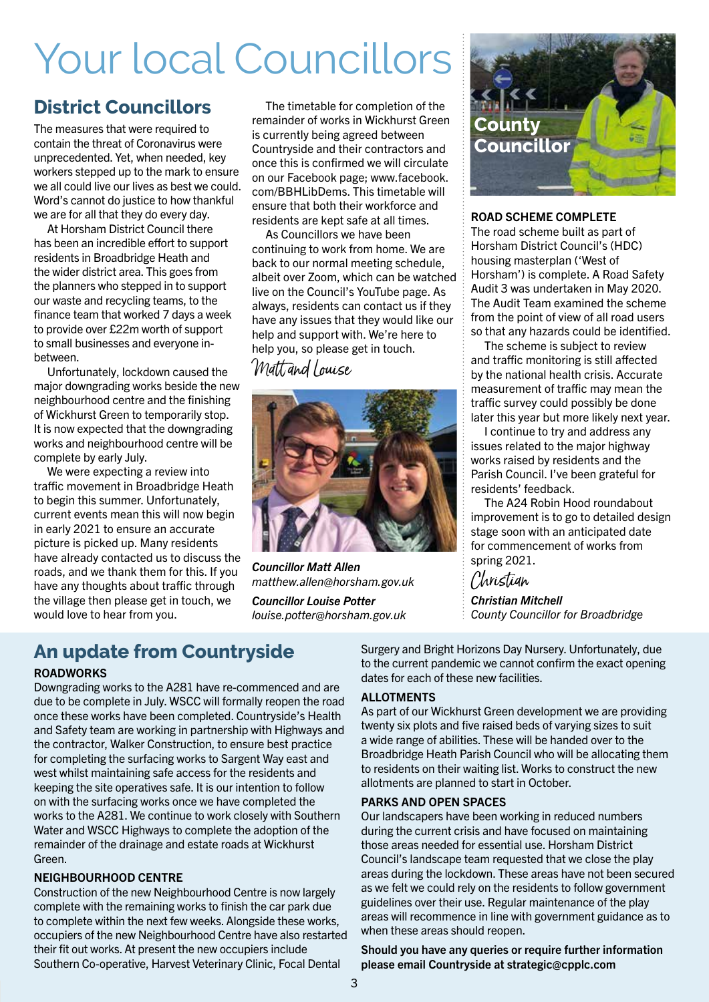# Your local Councillors

## **District Councillors**

The measures that were required to contain the threat of Coronavirus were unprecedented. Yet, when needed, key workers stepped up to the mark to ensure we all could live our lives as best we could. Word's cannot do justice to how thankful we are for all that they do every day.

At Horsham District Council there has been an incredible effort to support residents in Broadbridge Heath and the wider district area. This goes from the planners who stepped in to support our waste and recycling teams, to the finance team that worked 7 days a week to provide over £22m worth of support to small businesses and everyone inbetween.

Unfortunately, lockdown caused the major downgrading works beside the new neighbourhood centre and the finishing of Wickhurst Green to temporarily stop. It is now expected that the downgrading works and neighbourhood centre will be complete by early July.

We were expecting a review into traffic movement in Broadbridge Heath to begin this summer. Unfortunately, current events mean this will now begin in early 2021 to ensure an accurate picture is picked up. Many residents have already contacted us to discuss the roads, and we thank them for this. If you have any thoughts about traffic through the village then please get in touch, we would love to hear from you.

The timetable for completion of the remainder of works in Wickhurst Green is currently being agreed between Countryside and their contractors and once this is confirmed we will circulate on our Facebook page; www.facebook. com/BBHLibDems. This timetable will ensure that both their workforce and residents are kept safe at all times.

As Councillors we have been continuing to work from home. We are back to our normal meeting schedule, albeit over Zoom, which can be watched live on the Council's YouTube page. As always, residents can contact us if they have any issues that they would like our help and support with. We're here to help you, so please get in touch. Matt and Louise



*Councillor Matt Allen matthew.allen@horsham.gov.uk Councillor Louise Potter louise.potter@horsham.gov.uk*

#### **An update from Countryside** ROADWORKS

Downgrading works to the A281 have re-commenced and are due to be complete in July. WSCC will formally reopen the road once these works have been completed. Countryside's Health and Safety team are working in partnership with Highways and the contractor, Walker Construction, to ensure best practice for completing the surfacing works to Sargent Way east and west whilst maintaining safe access for the residents and keeping the site operatives safe. It is our intention to follow on with the surfacing works once we have completed the works to the A281. We continue to work closely with Southern Water and WSCC Highways to complete the adoption of the remainder of the drainage and estate roads at Wickhurst Green.

#### NEIGHBOURHOOD CENTRE

Construction of the new Neighbourhood Centre is now largely complete with the remaining works to finish the car park due to complete within the next few weeks. Alongside these works, occupiers of the new Neighbourhood Centre have also restarted their fit out works. At present the new occupiers include Southern Co-operative, Harvest Veterinary Clinic, Focal Dental



#### ROAD SCHEME COMPLETE

The road scheme built as part of Horsham District Council's (HDC) housing masterplan ('West of Horsham') is complete. A Road Safety Audit 3 was undertaken in May 2020. The Audit Team examined the scheme from the point of view of all road users so that any hazards could be identified.

The scheme is subject to review and traffic monitoring is still affected by the national health crisis. Accurate measurement of traffic may mean the traffic survey could possibly be done later this year but more likely next year.

I continue to try and address any issues related to the major highway works raised by residents and the Parish Council. I've been grateful for residents' feedback.

The A24 Robin Hood roundabout improvement is to go to detailed design stage soon with an anticipated date for commencement of works from spring 2021.

Christian

*Christian Mitchell County Councillor for Broadbridge*

Surgery and Bright Horizons Day Nursery. Unfortunately, due to the current pandemic we cannot confirm the exact opening dates for each of these new facilities.

#### ALLOTMENTS

As part of our Wickhurst Green development we are providing twenty six plots and five raised beds of varying sizes to suit a wide range of abilities. These will be handed over to the Broadbridge Heath Parish Council who will be allocating them to residents on their waiting list. Works to construct the new allotments are planned to start in October.

#### PARKS AND OPEN SPACES

Our landscapers have been working in reduced numbers during the current crisis and have focused on maintaining those areas needed for essential use. Horsham District Council's landscape team requested that we close the play areas during the lockdown. These areas have not been secured as we felt we could rely on the residents to follow government guidelines over their use. Regular maintenance of the play areas will recommence in line with government guidance as to when these areas should reopen.

Should you have any queries or require further information please email Countryside at strategic@cpplc.com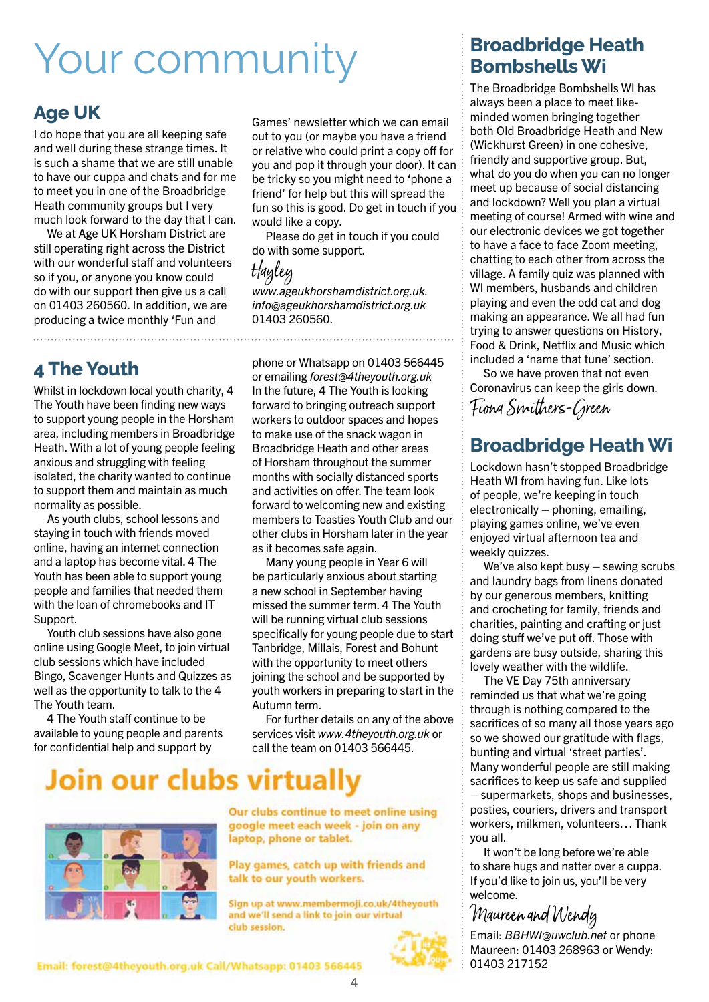# Your community

## **Age UK**

I do hope that you are all keeping safe and well during these strange times. It is such a shame that we are still unable to have our cuppa and chats and for me to meet you in one of the Broadbridge Heath community groups but I very much look forward to the day that I can.

We at Age UK Horsham District are still operating right across the District with our wonderful staff and volunteers so if you, or anyone you know could do with our support then give us a call on 01403 260560. In addition, we are producing a twice monthly 'Fun and

## **4 The Youth**

Whilst in lockdown local youth charity, 4 The Youth have been finding new ways to support young people in the Horsham area, including members in Broadbridge Heath. With a lot of young people feeling anxious and struggling with feeling isolated, the charity wanted to continue to support them and maintain as much normality as possible.

As youth clubs, school lessons and staying in touch with friends moved online, having an internet connection and a laptop has become vital. 4 The Youth has been able to support young people and families that needed them with the loan of chromebooks and IT Support.

Youth club sessions have also gone online using Google Meet, to join virtual club sessions which have included Bingo, Scavenger Hunts and Quizzes as well as the opportunity to talk to the 4 The Youth team.

4 The Youth staff continue to be available to young people and parents for confidential help and support by

Games' newsletter which we can email out to you (or maybe you have a friend or relative who could print a copy off for you and pop it through your door). It can be tricky so you might need to 'phone a friend' for help but this will spread the fun so this is good. Do get in touch if you would like a copy.

Please do get in touch if you could do with some support.

#### Hayley

*www.ageukhorshamdistrict.org.uk. info@ageukhorshamdistrict.org.uk* 01403 260560.

phone or Whatsapp on 01403 566445 or emailing *forest@4theyouth.org.uk* In the future, 4 The Youth is looking forward to bringing outreach support workers to outdoor spaces and hopes to make use of the snack wagon in Broadbridge Heath and other areas of Horsham throughout the summer months with socially distanced sports and activities on offer. The team look forward to welcoming new and existing members to Toasties Youth Club and our other clubs in Horsham later in the year as it becomes safe again.

Many young people in Year 6 will be particularly anxious about starting a new school in September having missed the summer term. 4 The Youth will be running virtual club sessions specifically for young people due to start Tanbridge, Millais, Forest and Bohunt with the opportunity to meet others joining the school and be supported by youth workers in preparing to start in the Autumn term.

For further details on any of the above services visit *www.4theyouth.org.uk* or call the team on 01403 566445.

## Join our clubs virtually



Our clubs continue to meet online using google meet each week - join on any laptop, phone or tablet.

Play games, catch up with friends and talk to our youth workers.

Sign up at www.membermoji.co.uk/4theyouth and we'll send a link to join our virtual club session.



## **Broadbridge Heath Bombshells Wi**

The Broadbridge Bombshells WI has always been a place to meet likeminded women bringing together both Old Broadbridge Heath and New (Wickhurst Green) in one cohesive, friendly and supportive group. But, what do you do when you can no longer meet up because of social distancing and lockdown? Well you plan a virtual meeting of course! Armed with wine and our electronic devices we got together to have a face to face Zoom meeting, chatting to each other from across the village. A family quiz was planned with WI members, husbands and children playing and even the odd cat and dog making an appearance. We all had fun trying to answer questions on History, Food & Drink, Netflix and Music which included a 'name that tune' section.

So we have proven that not even Coronavirus can keep the girls down.

## Fiona Smithers-Green

## **Broadbridge Heath Wi**

Lockdown hasn't stopped Broadbridge Heath WI from having fun. Like lots of people, we're keeping in touch electronically – phoning, emailing, playing games online, we've even enjoyed virtual afternoon tea and weekly quizzes.

We've also kept busy – sewing scrubs and laundry bags from linens donated by our generous members, knitting and crocheting for family, friends and charities, painting and crafting or just doing stuff we've put off. Those with gardens are busy outside, sharing this lovely weather with the wildlife.

The VE Day 75th anniversary reminded us that what we're going through is nothing compared to the sacrifices of so many all those years ago so we showed our gratitude with flags, bunting and virtual 'street parties'. Many wonderful people are still making sacrifices to keep us safe and supplied – supermarkets, shops and businesses, posties, couriers, drivers and transport workers, milkmen, volunteers… Thank you all.

It won't be long before we're able to share hugs and natter over a cuppa. If you'd like to join us, you'll be very welcome.

## Maureen and Wendy

Email: *BBHWI@uwclub.net* or phone Maureen: 01403 268963 or Wendy: 01403 217152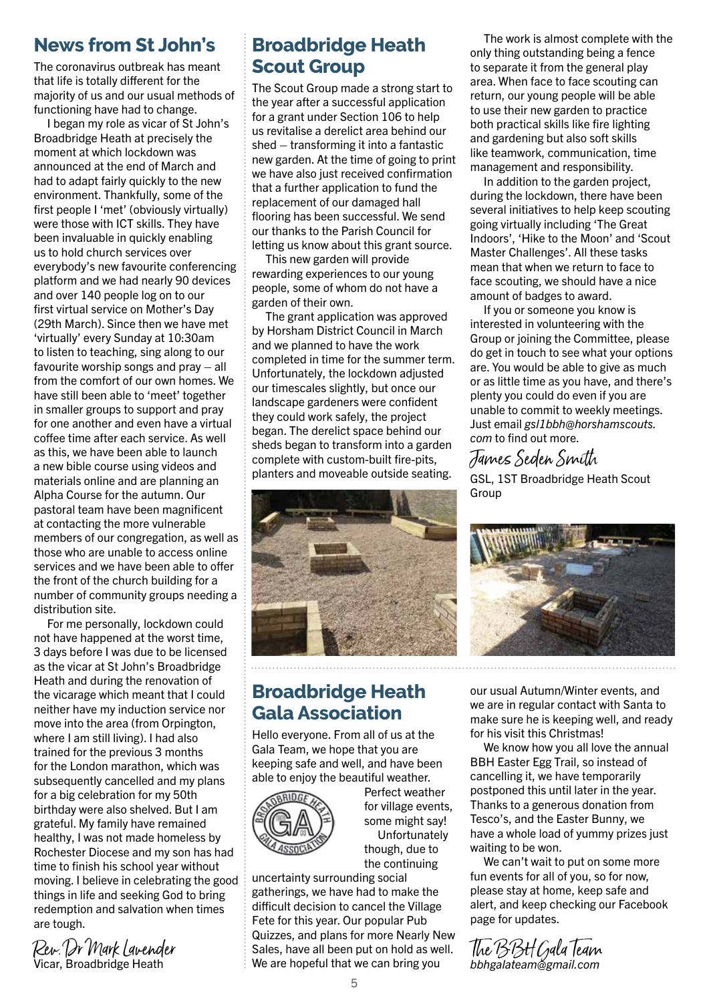#### **News from St John's**

The coronavirus outbreak has meant that life is totally different for the majority of us and our usual methods of functioning have had to change.

I began my role as vicar of St John's Broadbridge Heath at precisely the moment at which lockdown was announced at the end of March and had to adapt fairly quickly to the new environment. Thankfully, some of the first people I 'met' (obviously virtually) were those with ICT skills. They have been invaluable in quickly enabling us to hold church services over everybody's new favourite conferencing platform and we had nearly 90 devices and over 140 people log on to our first virtual service on Mother's Day (29th March). Since then we have met 'virtually' every Sunday at 10:30am to listen to teaching, sing along to our favourite worship songs and pray – all from the comfort of our own homes. We have still been able to 'meet' together in smaller groups to support and pray for one another and even have a virtual coffee time after each service. As well as this, we have been able to launch a new bible course using videos and materials online and are planning an Alpha Course for the autumn. Our pastoral team have been magnificent at contacting the more vulnerable members of our congregation, as well as those who are unable to access online services and we have been able to offer the front of the church building for a number of community groups needing a distribution site.

For me personally, lockdown could not have happened at the worst time, 3 days before I was due to be licensed as the vicar at St John's Broadbridge Heath and during the renovation of the vicarage which meant that I could neither have my induction service nor move into the area (from Orpington, where I am still living). I had also trained for the previous 3 months for the London marathon, which was subsequently cancelled and my plans for a big celebration for my 50th birthday were also shelved. But I am grateful. My family have remained healthy, I was not made homeless by Rochester Diocese and my son has had time to finish his school year without moving. I believe in celebrating the good things in life and seeking God to bring redemption and salvation when times are tough.

Springtime at Top Common (photo D Bridges) Rev. Dr Mark Lavender Vicar, Broadbridge Heath

### **Broadbridge Heath Scout Group**

The Scout Group made a strong start to the year after a successful application for a grant under Section 106 to help us revitalise a derelict area behind our shed – transforming it into a fantastic new garden. At the time of going to print we have also just received confirmation that a further application to fund the replacement of our damaged hall flooring has been successful. We send our thanks to the Parish Council for letting us know about this grant source.

This new garden will provide rewarding experiences to our young people, some of whom do not have a garden of their own.

The grant application was approved by Horsham District Council in March and we planned to have the work completed in time for the summer term. Unfortunately, the lockdown adjusted our timescales slightly, but once our landscape gardeners were confident they could work safely, the project began. The derelict space behind our sheds began to transform into a garden complete with custom-built fire-pits, planters and moveable outside seating.



### **Broadbridge Heath Gala Association**

Hello everyone. From all of us at the Gala Team, we hope that you are keeping safe and well, and have been able to enjoy the beautiful weather.



Perfect weather for village events, some might say! Unfortunately though, due to the continuing

uncertainty surrounding social gatherings, we have had to make the difficult decision to cancel the Village Fete for this year. Our popular Pub Quizzes, and plans for more Nearly New Sales, have all been put on hold as well. We are hopeful that we can bring you

The work is almost complete with the only thing outstanding being a fence to separate it from the general play area. When face to face scouting can return, our young people will be able to use their new garden to practice both practical skills like fire lighting and gardening but also soft skills like teamwork, communication, time management and responsibility.

In addition to the garden project, during the lockdown, there have been several initiatives to help keep scouting going virtually including 'The Great Indoors', 'Hike to the Moon' and 'Scout Master Challenges'. All these tasks mean that when we return to face to face scouting, we should have a nice amount of badges to award.

If you or someone you know is interested in volunteering with the Group or joining the Committee, please do get in touch to see what your options are. You would be able to give as much or as little time as you have, and there's plenty you could do even if you are unable to commit to weekly meetings. Just email *gsl1bbh@horshamscouts. com* to find out more.

#### James Seden Smith

GSL, 1ST Broadbridge Heath Scout Group



our usual Autumn/Winter events, and we are in regular contact with Santa to make sure he is keeping well, and ready for his visit this Christmas!

We know how you all love the annual BBH Easter Egg Trail, so instead of cancelling it, we have temporarily postponed this until later in the year. Thanks to a generous donation from Tesco's, and the Easter Bunny, we have a whole load of yummy prizes just waiting to be won.

We can't wait to put on some more fun events for all of you, so for now, please stay at home, keep safe and alert, and keep checking our Facebook page for updates.

The BBH Gala Team *bbhgalateam@gmail.com*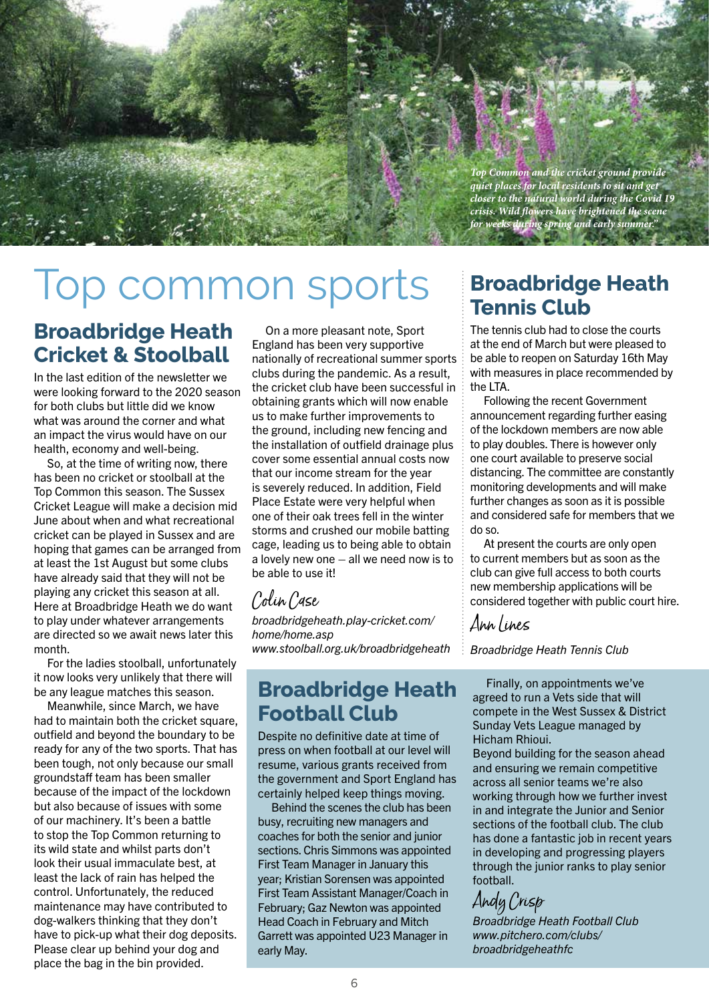

## Top common sports

## **Broadbridge Heath Cricket & Stoolball**

In the last edition of the newsletter we were looking forward to the 2020 season for both clubs but little did we know what was around the corner and what an impact the virus would have on our health, economy and well-being.

So, at the time of writing now, there has been no cricket or stoolball at the Top Common this season. The Sussex Cricket League will make a decision mid June about when and what recreational cricket can be played in Sussex and are hoping that games can be arranged from at least the 1st August but some clubs have already said that they will not be playing any cricket this season at all. Here at Broadbridge Heath we do want to play under whatever arrangements are directed so we await news later this month.

For the ladies stoolball, unfortunately it now looks very unlikely that there will be any league matches this season.

Meanwhile, since March, we have had to maintain both the cricket square, outfield and beyond the boundary to be ready for any of the two sports. That has been tough, not only because our small groundstaff team has been smaller because of the impact of the lockdown but also because of issues with some of our machinery. It's been a battle to stop the Top Common returning to its wild state and whilst parts don't look their usual immaculate best, at least the lack of rain has helped the control. Unfortunately, the reduced maintenance may have contributed to dog-walkers thinking that they don't have to pick-up what their dog deposits. Please clear up behind your dog and place the bag in the bin provided.

On a more pleasant note, Sport England has been very supportive nationally of recreational summer sports clubs during the pandemic. As a result, the cricket club have been successful in obtaining grants which will now enable us to make further improvements to the ground, including new fencing and the installation of outfield drainage plus cover some essential annual costs now that our income stream for the year is severely reduced. In addition, Field Place Estate were very helpful when one of their oak trees fell in the winter storms and crushed our mobile batting cage, leading us to being able to obtain a lovely new one – all we need now is to be able to use it!

## Colin Case

*broadbridgeheath.play-cricket.com/ home/home.asp www.stoolball.org.uk/broadbridgeheath*

### **Broadbridge Heath Football Club**

Despite no definitive date at time of press on when football at our level will resume, various grants received from the government and Sport England has certainly helped keep things moving.

Behind the scenes the club has been busy, recruiting new managers and coaches for both the senior and junior sections. Chris Simmons was appointed First Team Manager in January this year; Kristian Sorensen was appointed First Team Assistant Manager/Coach in February; Gaz Newton was appointed Head Coach in February and Mitch Garrett was appointed U23 Manager in early May.

## **Broadbridge Heath Tennis Club**

The tennis club had to close the courts at the end of March but were pleased to be able to reopen on Saturday 16th May with measures in place recommended by the LTA.

Following the recent Government announcement regarding further easing of the lockdown members are now able to play doubles. There is however only one court available to preserve social distancing. The committee are constantly monitoring developments and will make further changes as soon as it is possible and considered safe for members that we do so.

At present the courts are only open to current members but as soon as the club can give full access to both courts new membership applications will be considered together with public court hire.

Ann Lines

*Broadbridge Heath Tennis Club*

Finally, on appointments we've agreed to run a Vets side that will compete in the West Sussex & District Sunday Vets League managed by Hicham Rhioui.

Beyond building for the season ahead and ensuring we remain competitive across all senior teams we're also working through how we further invest in and integrate the Junior and Senior sections of the football club. The club has done a fantastic job in recent years in developing and progressing players through the junior ranks to play senior football.

Andy Crisp

*Broadbridge Heath Football Club www.pitchero.com/clubs/ broadbridgeheathfc*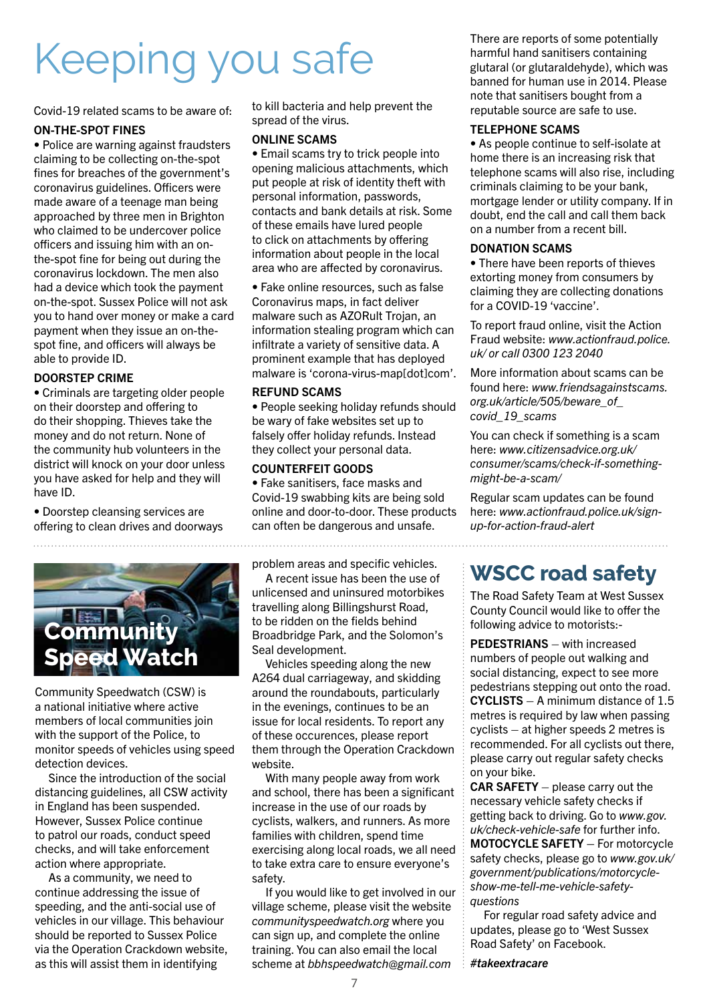# Keeping you safe

Covid-19 related scams to be aware of:

#### ON-THE-SPOT FINES

• Police are warning against fraudsters claiming to be collecting on-the-spot fines for breaches of the government's coronavirus guidelines. Officers were made aware of a teenage man being approached by three men in Brighton who claimed to be undercover police officers and issuing him with an onthe-spot fine for being out during the coronavirus lockdown. The men also had a device which took the payment on-the-spot. Sussex Police will not ask you to hand over money or make a card payment when they issue an on-thespot fine, and officers will always be able to provide ID.

#### DOORSTEP CRIME

• Criminals are targeting older people on their doorstep and offering to do their shopping. Thieves take the money and do not return. None of the community hub volunteers in the district will knock on your door unless you have asked for help and they will have ID.

• Doorstep cleansing services are offering to clean drives and doorways



Community Speedwatch (CSW) is a national initiative where active members of local communities join with the support of the Police, to monitor speeds of vehicles using speed detection devices.

Since the introduction of the social distancing guidelines, all CSW activity in England has been suspended. However, Sussex Police continue to patrol our roads, conduct speed checks, and will take enforcement action where appropriate.

As a community, we need to continue addressing the issue of speeding, and the anti-social use of vehicles in our village. This behaviour should be reported to Sussex Police via the Operation Crackdown website, as this will assist them in identifying

to kill bacteria and help prevent the spread of the virus.

#### ONLINE SCAMS

• Email scams try to trick people into opening malicious attachments, which put people at risk of identity theft with personal information, passwords, contacts and bank details at risk. Some of these emails have lured people to click on attachments by offering information about people in the local area who are affected by coronavirus.

• Fake online resources, such as false Coronavirus maps, in fact deliver malware such as AZORult Trojan, an information stealing program which can infiltrate a variety of sensitive data. A prominent example that has deployed malware is 'corona-virus-map[dot]com'.

#### REFUND SCAMS

• People seeking holiday refunds should be wary of fake websites set up to falsely offer holiday refunds. Instead they collect your personal data.

#### COUNTERFEIT GOODS

• Fake sanitisers, face masks and Covid-19 swabbing kits are being sold online and door-to-door. These products can often be dangerous and unsafe.

problem areas and specific vehicles.

A recent issue has been the use of unlicensed and uninsured motorbikes travelling along Billingshurst Road, to be ridden on the fields behind Broadbridge Park, and the Solomon's Seal development.

Vehicles speeding along the new A264 dual carriageway, and skidding around the roundabouts, particularly in the evenings, continues to be an issue for local residents. To report any of these occurences, please report them through the Operation Crackdown website.

With many people away from work and school, there has been a significant increase in the use of our roads by cyclists, walkers, and runners. As more families with children, spend time exercising along local roads, we all need to take extra care to ensure everyone's safety.

If you would like to get involved in our village scheme, please visit the website *communityspeedwatch.org* where you can sign up, and complete the online training. You can also email the local scheme at *bbhspeedwatch@gmail.com*

There are reports of some potentially harmful hand sanitisers containing glutaral (or glutaraldehyde), which was banned for human use in 2014. Please note that sanitisers bought from a reputable source are safe to use.

#### TELEPHONE SCAMS

• As people continue to self-isolate at home there is an increasing risk that telephone scams will also rise, including criminals claiming to be your bank, mortgage lender or utility company. If in doubt, end the call and call them back on a number from a recent bill.

#### DONATION SCAMS

• There have been reports of thieves extorting money from consumers by claiming they are collecting donations for a COVID-19 'vaccine'.

To report fraud online, visit the Action Fraud website: *www.actionfraud.police. uk/ or call 0300 123 2040*

More information about scams can be found here: *www.friendsagainstscams. org.uk/article/505/beware\_of\_ covid\_19\_scams*

You can check if something is a scam here: *www.citizensadvice.org.uk/ consumer/scams/check-if-somethingmight-be-a-scam/* 

Regular scam updates can be found here: *www.actionfraud.police.uk/signup-for-action-fraud-alert*

## **WSCC road safety**

The Road Safety Team at West Sussex County Council would like to offer the following advice to motorists:-

PEDESTRIANS – with increased numbers of people out walking and social distancing, expect to see more pedestrians stepping out onto the road. CYCLISTS – A minimum distance of 1.5 metres is required by law when passing cyclists – at higher speeds 2 metres is recommended. For all cyclists out there, please carry out regular safety checks on your bike.

CAR SAFETY – please carry out the necessary vehicle safety checks if getting back to driving. Go to *www.gov. uk/check-vehicle-safe* for further info.

MOTOCYCLE SAFETY – For motorcycle safety checks, please go to *www.gov.uk/ government/publications/motorcycleshow-me-tell-me-vehicle-safetyquestions*

For regular road safety advice and updates, please go to 'West Sussex Road Safety' on Facebook.

*#takeextracare*